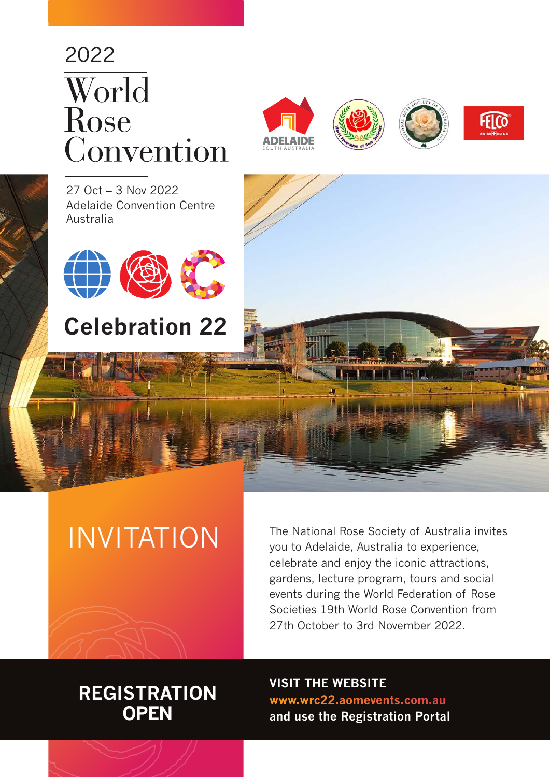# 2022 World Rose Convention







27 Oct – 3 Nov 2022 Adelaide Convention Centre Australia



# **Celebration 22**



# INVITATION

The National Rose Society of Australia invites you to Adelaide, Australia to experience, celebrate and enjoy the iconic attractions, gardens, lecture program, tours and social events during the World Federation of Rose Societies 19th World Rose Convention from 27th October to 3rd November 2022.

### **REGISTRATION OPEN**

**VISIT THE WEBSITE [www.wrc22.aomevents.com.au](http://www.wrc22.aomevents.com.au) and use the Registration Portal**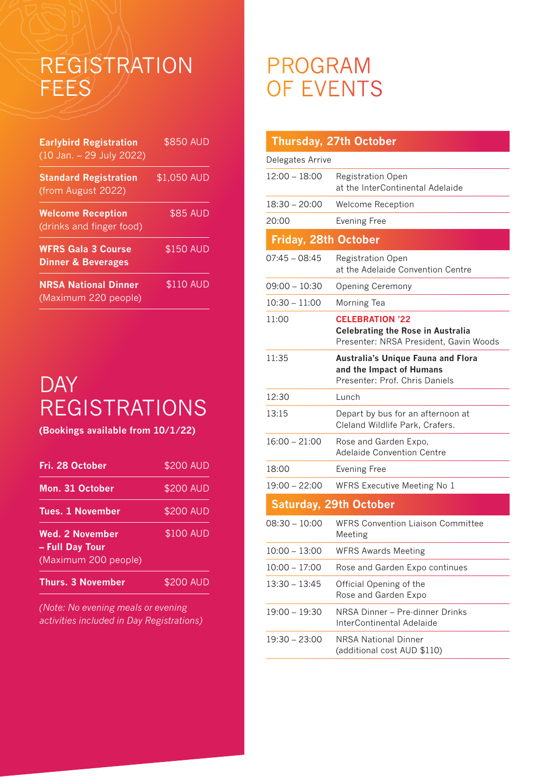# REGISTRATION FEES

| <b>Earlybird Registration</b><br>(10 Jan. - 29 July 2022)  | \$850 AUD       |
|------------------------------------------------------------|-----------------|
| <b>Standard Registration</b><br>(from August 2022)         | \$1,050 AUD     |
| <b>Welcome Reception</b><br>(drinks and finger food)       | <b>\$85 AUD</b> |
| <b>WFRS Gala 3 Course</b><br><b>Dinner &amp; Beverages</b> | \$150 AUD       |
| <b>NRSA National Dinner</b><br>(Maximum 220 people)        | \$110 AUD       |

# **DAY** REGISTRATIONS

**(Bookings available from 10/1/22)** 

| Fri. 28 October                                                   | \$200 AUD |
|-------------------------------------------------------------------|-----------|
| Mon. 31 October                                                   | \$200 AUD |
| <b>Tues. 1 November</b>                                           | \$200 AUD |
| <b>Wed. 2 November</b><br>- Full Day Tour<br>(Maximum 200 people) | \$100 AUD |
| <b>Thurs. 3 November</b>                                          | \$200 AUD |

*(Note: No evening meals or evening activities included in Day Registrations)*

### PROGRAM OF EVENTS

|                             | <b>Thursday, 27th October</b>                                                                                |
|-----------------------------|--------------------------------------------------------------------------------------------------------------|
| Delegates Arrive            |                                                                                                              |
| $12:00 - 18:00$             | <b>Registration Open</b><br>at the InterContinental Adelaide                                                 |
| 18:30 – 20:00               | Welcome Reception                                                                                            |
| 20:00                       | <b>Evening Free</b>                                                                                          |
| <b>Friday, 28th October</b> |                                                                                                              |
| $07:45 - 08:45$             | Registration Open<br>at the Adelaide Convention Centre                                                       |
| $09:00 - 10:30$             | <b>Opening Ceremony</b>                                                                                      |
| $10:30 - 11:00$             | Morning Tea                                                                                                  |
| 11:00                       | <b>CELEBRATION '22</b><br><b>Celebrating the Rose in Australia</b><br>Presenter: NRSA President, Gavin Woods |
| 11:35                       | <b>Australia's Unique Fauna and Flora</b><br>and the Impact of Humans<br>Presenter: Prof. Chris Daniels      |
| 12:30                       | Lunch                                                                                                        |
| 13:15                       | Depart by bus for an afternoon at<br>Cleland Wildlife Park, Crafers.                                         |
| $16:00 - 21:00$             | Rose and Garden Expo,<br><b>Adelaide Convention Centre</b>                                                   |
| 18:00                       | <b>Evening Free</b>                                                                                          |
| $19:00 - 22:00$             | WFRS Executive Meeting No 1                                                                                  |
|                             | <b>Saturday, 29th October</b>                                                                                |
| $08:30 - 10:00$             | <b>WFRS Convention Liaison Committee</b><br>Meeting                                                          |
| $10:00 - 13:00$             | <b>WFRS Awards Meeting</b>                                                                                   |
| $10:00 - 17:00$             | Rose and Garden Expo continues                                                                               |
| $13:30 - 13:45$             | Official Opening of the<br>Rose and Garden Expo                                                              |
| $19:00 - 19:30$             | NRSA Dinner - Pre-dinner Drinks<br>InterContinental Adelaide                                                 |
| $19:30 - 23:00$             | <b>NRSA National Dinner</b><br>(additional cost AUD \$110)                                                   |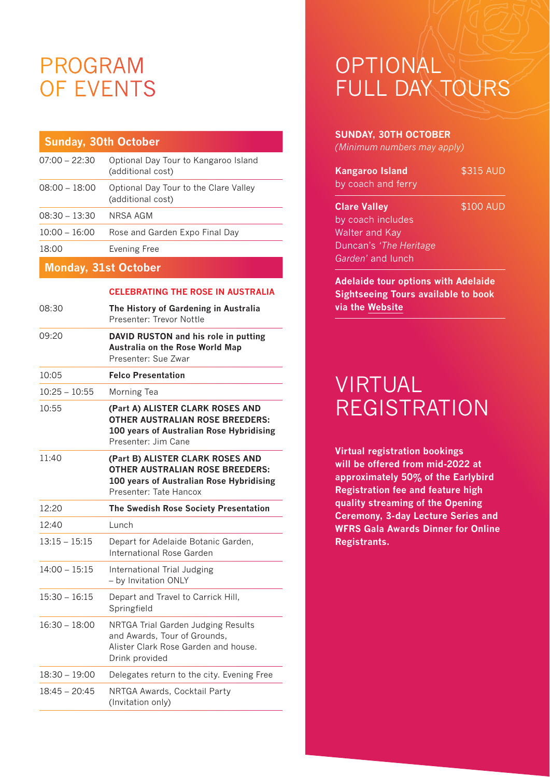# PROGRAM OF EVENTS

| <b>Sunday, 30th October</b> |                                                            |
|-----------------------------|------------------------------------------------------------|
| $07:00 - 22:30$             | Optional Day Tour to Kangaroo Island<br>(additional cost)  |
| $08:00 - 18:00$             | Optional Day Tour to the Clare Valley<br>(additional cost) |
| $08:30 - 13:30$             | NRSA AGM                                                   |
| $10:00 - 16:00$             | Rose and Garden Expo Final Day                             |
| 18:00                       | Evening Free                                               |
| <b>Monday, 31st October</b> |                                                            |

#### **CELEBRATING THE ROSE IN AUSTRALIA**

| 08:30           | The History of Gardening in Australia<br>Presenter: Trevor Nottle                                                                                |
|-----------------|--------------------------------------------------------------------------------------------------------------------------------------------------|
| 09:20           | DAVID RUSTON and his role in putting<br>Australia on the Rose World Map<br>Presenter: Sue Zwar                                                   |
| 10:05           | <b>Felco Presentation</b>                                                                                                                        |
| $10:25 - 10:55$ | Morning Tea                                                                                                                                      |
| 10:55           | (Part A) ALISTER CLARK ROSES AND<br><b>OTHER AUSTRALIAN ROSE BREEDERS:</b><br>100 years of Australian Rose Hybridising<br>Presenter: Jim Cane    |
| 11:40           | (Part B) ALISTER CLARK ROSES AND<br><b>OTHER AUSTRALIAN ROSE BREEDERS:</b><br>100 years of Australian Rose Hybridising<br>Presenter: Tate Hancox |
| 12:20           | The Swedish Rose Society Presentation                                                                                                            |
| 12:40           | Lunch                                                                                                                                            |
|                 |                                                                                                                                                  |
| $13:15 - 15:15$ | Depart for Adelaide Botanic Garden,<br>International Rose Garden                                                                                 |
| $14:00 - 15:15$ | International Trial Judging<br>- by Invitation ONLY                                                                                              |
| $15:30 - 16:15$ | Depart and Travel to Carrick Hill,<br>Springfield                                                                                                |
| $16:30 - 18:00$ | NRTGA Trial Garden Judging Results<br>and Awards, Tour of Grounds,<br>Alister Clark Rose Garden and house.<br>Drink provided                     |
| $18:30 - 19:00$ | Delegates return to the city. Evening Free                                                                                                       |

# **OPTIONAL** FULL DAY TOURS

#### **SUNDAY, 30TH OCTOBER**

*(Minimum numbers may apply)* 

| <b>Kangaroo Island</b><br>by coach and ferry | \$315 AUD |  |
|----------------------------------------------|-----------|--|
| <b>Clare Valley</b>                          | \$100 AUD |  |
| by coach includes                            |           |  |
| <b>Walter and Kay</b>                        |           |  |
| Duncan's 'The Heritage                       |           |  |
| Garden' and lunch                            |           |  |
| <b>Adelaide tour options with Adelaide</b>   |           |  |

**Sightseeing Tours available to book via the [Website](https://www.adelaidesightseeing.com.au/wrc2022-1)**

### VIRTUAL REGISTRATION

**Virtual registration bookings will be offered from mid-2022 at approximately 50% of the Earlybird Registration fee and feature high quality streaming of the Opening Ceremony, 3-day Lecture Series and WFRS Gala Awards Dinner for Online Registrants.**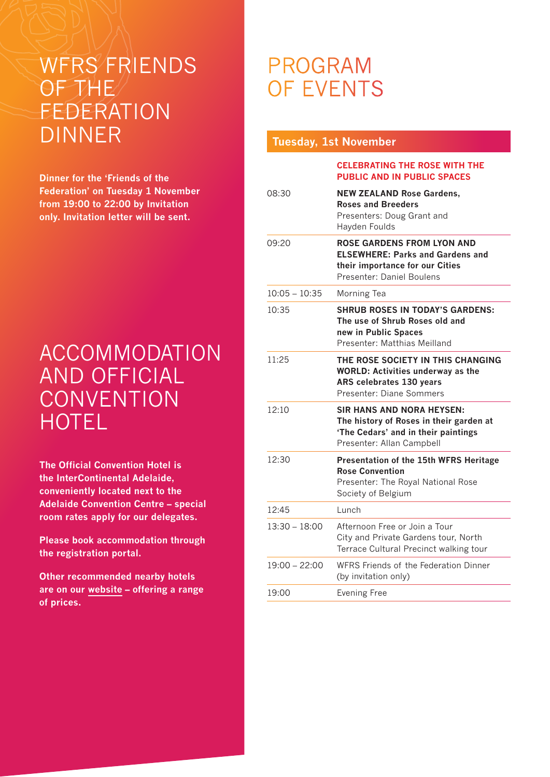# WFRS FRIENDS OF THE FEDERATION DINNER

**Dinner for the 'Friends of the Federation' on Tuesday 1 November from 19:00 to 22:00 by Invitation only. Invitation letter will be sent.**

# ACCOMMODATION AND OFFICIAL **CONVENTION HOTEL**

**The Official Convention Hotel is the InterContinental Adelaide, conveniently located next to the Adelaide Convention Centre – special room rates apply for our delegates.** 

**Please book accommodation through the registration portal.**

**Other recommended nearby hotels are on our [website](https://wrc22.aomevents.com.au/accommodation/) – offering a range of prices.**

# PROGRAM OF EVENTS

#### **Tuesday, 1st November CELEBRATING THE ROSE WITH THE PUBLIC AND IN PUBLIC SPACES**  08:30 **NEW ZEALAND Rose Gardens, Roses and Breeders** Presenters: Doug Grant and Hayden Foulds 09:20 **ROSE GARDENS FROM LYON AND ELSEWHERE: Parks and Gardens and their importance for our Cities** Presenter: Daniel Boulens 10:05 – 10:35 Morning Tea 10:35 **SHRUB ROSES IN TODAY'S GARDENS: The use of Shrub Roses old and new in Public Spaces** Presenter: Matthias Meilland 11:25 **THE ROSE SOCIETY IN THIS CHANGING WORLD: Activities underway as the ARS celebrates 130 years** Presenter: Diane Sommers 12:10 **SIR HANS AND NORA HEYSEN: The history of Roses in their garden at 'The Cedars' and in their paintings** Presenter: Allan Campbell 12:30 **Presentation of the 15th WFRS Heritage Rose Convention**  Presenter: The Royal National Rose Society of Belgium 12:45 Lunch 13:30 – 18:00 Afternoon Free or Join a Tour City and Private Gardens tour, North Terrace Cultural Precinct walking tour 19:00 – 22:00 WFRS Friends of the Federation Dinner (by invitation only) 19:00 Evening Free